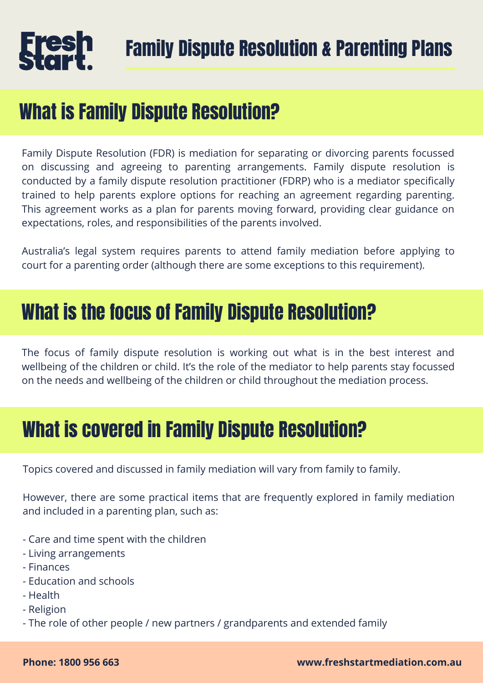## What is Family Dispute Resolution?

Family Dispute Resolution (FDR) is mediation for separating or divorcing parents focussed on discussing and agreeing to parenting arrangements. Family dispute resolution is conducted by a family dispute resolution practitioner (FDRP) who is a mediator specifically trained to help parents explore options for reaching an agreement regarding parenting. This agreement works as a plan for parents moving forward, providing clear guidance on expectations, roles, and responsibilities of the parents involved.

Australia's legal system requires parents to attend family mediation before applying to court for a parenting order (although there are some exceptions to this requirement).

### What is the focus of Family Dispute Resolution?

The focus of family dispute resolution is working out what is in the best interest and wellbeing of the children or child. It's the role of the mediator to help parents stay focussed on the needs and wellbeing of the children or child throughout the mediation process.

# What is covered in Family Dispute Resolution?

Topics covered and discussed in family mediation will vary from family to family.

However, there are some practical items that are frequently explored in family mediation and included in a parenting plan, such as:

- Care and time spent with the children
- Living arrangements
- Finances
- Education and schools
- Health
- Religion
- The role of other people / new partners / grandparents and extended family